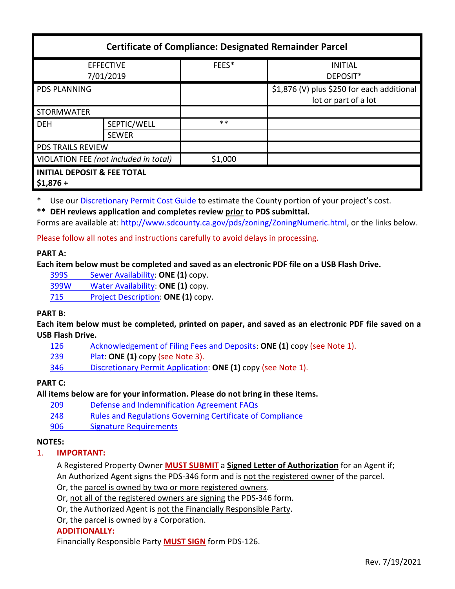| <b>Certificate of Compliance: Designated Remainder Parcel</b> |              |         |                                                                    |
|---------------------------------------------------------------|--------------|---------|--------------------------------------------------------------------|
| <b>EFFECTIVE</b><br>7/01/2019                                 |              | FEES*   | <b>INITIAL</b><br>DEPOSIT*                                         |
| <b>PDS PLANNING</b>                                           |              |         | \$1,876 (V) plus \$250 for each additional<br>lot or part of a lot |
| <b>STORMWATER</b>                                             |              |         |                                                                    |
| <b>DEH</b>                                                    | SEPTIC/WELL  | $***$   |                                                                    |
|                                                               | <b>SEWER</b> |         |                                                                    |
| <b>PDS TRAILS REVIEW</b>                                      |              |         |                                                                    |
| VIOLATION FEE (not included in total)                         |              | \$1,000 |                                                                    |
| <b>INITIAL DEPOSIT &amp; FEE TOTAL</b><br>$$1,876+$           |              |         |                                                                    |

Use our [Discretionary Permit Cost Guide](http://www.sandiegocounty.gov/content/dam/sdc/pds/docs/Discretionary_Permit_Cost_Guide.xlsx) to estimate the County portion of your project's cost.

**\*\* DEH reviews application and completes review prior to PDS submittal.**

Forms are available at[: http://www.sdcounty.ca.gov/pds/zoning/ZoningNumeric.html,](http://www.sdcounty.ca.gov/pds/zoning/ZoningNumeric.html) or the links below.

Please follow all notes and instructions carefully to avoid delays in processing.

### **PART A:**

**Each item below must be completed and saved as an electronic PDF file on a USB Flash Drive.**

399S [Sewer Availability:](http://www.sdcounty.ca.gov/pds/zoning/formfields/PDS-PLN-399S.pdf) **ONE (1)** copy.

[399W Water Availability:](http://www.sdcounty.ca.gov/pds/zoning/formfields/PDS-PLN-399W.pdf) **ONE (1)** copy.

715 [Project Description:](http://www.sdcounty.ca.gov/pds/zoning/formfields/PDS-PLN-715.pdf) **ONE (1)** copy.

# **PART B:**

**Each item below must be completed, printed on paper, and saved as an electronic PDF file saved on a USB Flash Drive.**

[126 Acknowledgement of Filing Fees and Deposits:](http://www.sdcounty.ca.gov/pds/zoning/formfields/PDS-PLN-126.pdf) **ONE (1)** copy (see Note 1).

239 [Plat:](http://www.sdcounty.ca.gov/pds/zoning/formfields/PDS-239.pdf) **ONE (1)** copy (see Note 3).

346 [Discretionary Permit Application:](http://www.sdcounty.ca.gov/pds/zoning/formfields/PDS-PLN-346.pdf) **ONE (1)** copy (see Note 1).

# **PART C:**

**All items below are for your information. Please do not bring in these items.**

209 [Defense and Indemnification Agreement FAQs](http://www.sdcounty.ca.gov/pds/zoning/formfields/PDS-PLN-209.pdf)

248 [Rules and Regulations Governing Certificate of Compliance](http://www.sdcounty.ca.gov/pds/zoning/formfields/PDS-PLN-248.pdf)

[906 Signature Requirements](http://www.sdcounty.ca.gov/pds/zoning/formfields/PDS-PLN-906.pdf)

# **NOTES:**

# 1. **IMPORTANT:**

A Registered Property Owner **MUST SUBMIT** a **Signed Letter of Authorization** for an Agent if; An Authorized Agent signs the PDS-346 form and is not the registered owner of the parcel.

Or, the parcel is owned by two or more registered owners.

Or, not all of the registered owners are signing the PDS-346 form.

Or, the Authorized Agent is not the Financially Responsible Party.

Or, the parcel is owned by a Corporation.

### **ADDITIONALLY:**

Financially Responsible Party **MUST SIGN** form PDS-126.